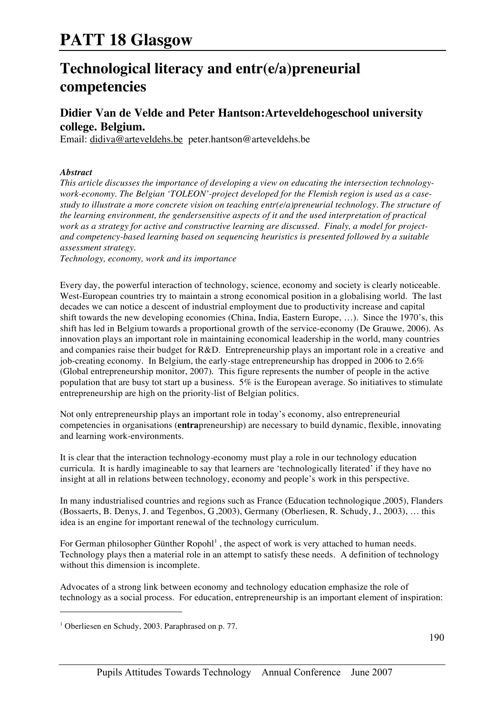### **Technological literacy and entr(e/a)preneurial competencies**

### **Didier Van de Velde and Peter Hantson:Arteveldehogeschool university college. Belgium.**

Email: didiva@arteveldehs.be peter.hantson@arteveldehs.be

#### *Abstract*

*This article discusses the importance of developing a view on educating the intersection technologywork-economy. The Belgian 'TOLEON'-project developed for the Flemish region is used as a casestudy to illustrate a more concrete vision on teaching entr(e/a)preneurial technology. The structure of the learning environment, the gendersensitive aspects of it and the used interpretation of practical work as a strategy for active and constructive learning are discussed. Finaly, a model for projectand competency-based learning based on sequencing heuristics is presented followed by a suitable assessment strategy.*

*Technology, economy, work and its importance*

Every day, the powerful interaction of technology, science, economy and society is clearly noticeable. West-European countries try to maintain a strong economical position in a globalising world. The last decades we can notice a descent of industrial employment due to productivity increase and capital shift towards the new developing economies (China, India, Eastern Europe, …). Since the 1970's, this shift has led in Belgium towards a proportional growth of the service-economy (De Grauwe, 2006). As innovation plays an important role in maintaining economical leadership in the world, many countries and companies raise their budget for R&D. Entrepreneurship plays an important role in a creative and job-creating economy. In Belgium, the early-stage entrepreneurship has dropped in 2006 to 2.6% (Global entrepreneurship monitor, 2007). This figure represents the number of people in the active population that are busy tot start up a business. 5% is the European average. So initiatives to stimulate entrepreneurship are high on the priority-list of Belgian politics.

Not only entrepreneurship plays an important role in today's economy, also entrepreneurial competencies in organisations (**entra**preneurship) are necessary to build dynamic, flexible, innovating and learning work-environments.

It is clear that the interaction technology-economy must play a role in our technology education curricula. It is hardly imagineable to say that learners are 'technologically literated' if they have no insight at all in relations between technology, economy and people's work in this perspective.

In many industrialised countries and regions such as France (Education technologique ,2005), Flanders (Bossaerts, B. Denys, J. and Tegenbos, G ,2003), Germany (Oberliesen, R. Schudy, J., 2003), … this idea is an engine for important renewal of the technology curriculum.

For German philosopher Günther Ropohl<sup>1</sup>, the aspect of work is very attached to human needs. Technology plays then a material role in an attempt to satisfy these needs. A definition of technology without this dimension is incomplete.

Advocates of a strong link between economy and technology education emphasize the role of technology as a social process. For education, entrepreneurship is an important element of inspiration:

<sup>&</sup>lt;sup>1</sup> Oberliesen en Schudy, 2003. Paraphrased on p. 77.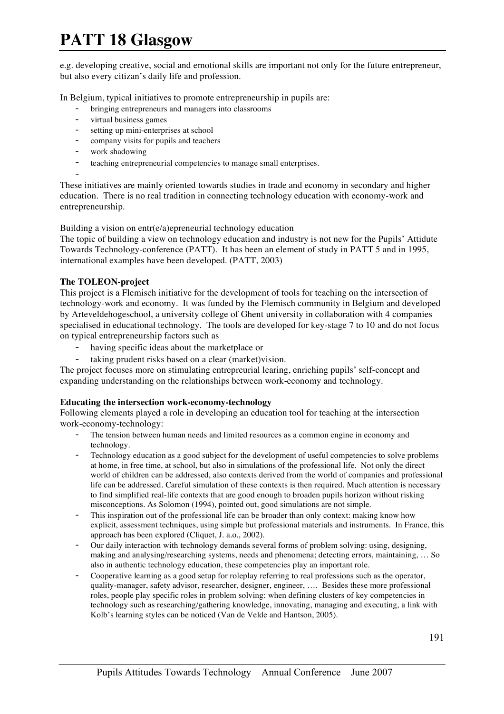e.g. developing creative, social and emotional skills are important not only for the future entrepreneur, but also every citizan's daily life and profession.

In Belgium, typical initiatives to promote entrepreneurship in pupils are:

- bringing entrepreneurs and managers into classrooms
- virtual business games
- setting up mini-enterprises at school
- company visits for pupils and teachers
- work shadowing
- teaching entrepreneurial competencies to manage small enterprises.
- -

These initiatives are mainly oriented towards studies in trade and economy in secondary and higher education. There is no real tradition in connecting technology education with economy-work and entrepreneurship.

Building a vision on entr(e/a)epreneurial technology education

The topic of building a view on technology education and industry is not new for the Pupils' Attidute Towards Technology-conference (PATT). It has been an element of study in PATT 5 and in 1995, international examples have been developed. (PATT, 2003)

#### **The TOLEON-project**

This project is a Flemisch initiative for the development of tools for teaching on the intersection of technology-work and economy. It was funded by the Flemisch community in Belgium and developed by Arteveldehogeschool, a university college of Ghent university in collaboration with 4 companies specialised in educational technology. The tools are developed for key-stage 7 to 10 and do not focus on typical entrepreneurship factors such as

- having specific ideas about the marketplace or
- taking prudent risks based on a clear (market)vision.

The project focuses more on stimulating entrepreurial learing, enriching pupils' self-concept and expanding understanding on the relationships between work-economy and technology.

#### **Educating the intersection work-economy-technology**

Following elements played a role in developing an education tool for teaching at the intersection work-economy-technology:

- The tension between human needs and limited resources as a common engine in economy and technology.
- Technology education as a good subject for the development of useful competencies to solve problems at home, in free time, at school, but also in simulations of the professional life. Not only the direct world of children can be addressed, also contexts derived from the world of companies and professional life can be addressed. Careful simulation of these contexts is then required. Much attention is necessary to find simplified real-life contexts that are good enough to broaden pupils horizon without risking misconceptions. As Solomon (1994), pointed out, good simulations are not simple.
- This inspiration out of the professional life can be broader than only context: making know how explicit, assessment techniques, using simple but professional materials and instruments. In France, this approach has been explored (Cliquet, J. a.o., 2002).
- Our daily interaction with technology demands several forms of problem solving: using, designing, making and analysing/researching systems, needs and phenomena; detecting errors, maintaining, … So also in authentic technology education, these competencies play an important role.
- Cooperative learning as a good setup for roleplay referring to real professions such as the operator, quality-manager, safety advisor, researcher, designer, engineer, …. Besides these more professional roles, people play specific roles in problem solving: when defining clusters of key competencies in technology such as researching/gathering knowledge, innovating, managing and executing, a link with Kolb's learning styles can be noticed (Van de Velde and Hantson, 2005).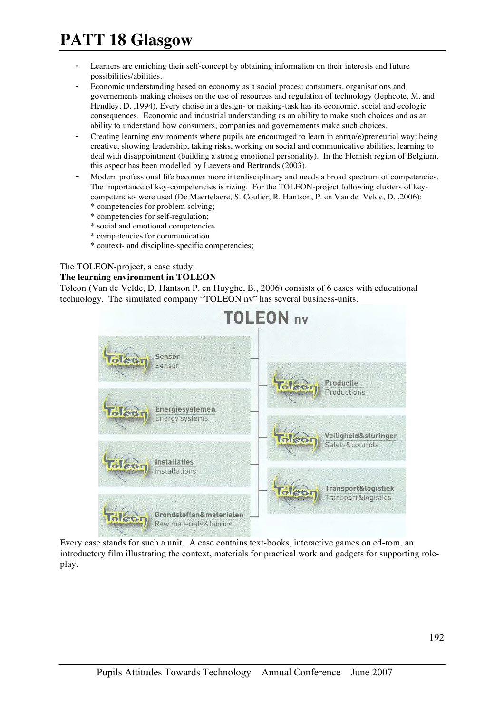- Learners are enriching their self-concept by obtaining information on their interests and future possibilities/abilities.
- Economic understanding based on economy as a social proces: consumers, organisations and governements making choises on the use of resources and regulation of technology (Jephcote, M. and Hendley, D. ,1994). Every choise in a design- or making-task has its economic, social and ecologic consequences. Economic and industrial understanding as an ability to make such choices and as an ability to understand how consumers, companies and governements make such choices.
- Creating learning environments where pupils are encouraged to learn in entr $(a/e)$ preneurial way: being creative, showing leadership, taking risks, working on social and communicative abilities, learning to deal with disappointment (building a strong emotional personality). In the Flemish region of Belgium, this aspect has been modelled by Laevers and Bertrands (2003).
- Modern professional life becomes more interdisciplinary and needs a broad spectrum of competencies. The importance of key-competencies is rizing. For the TOLEON-project following clusters of keycompetencies were used (De Maertelaere, S. Coulier, R. Hantson, P. en Van de Velde, D. ,2006): \* competencies for problem solving;
	- \* competencies for self-regulation;
	- \* social and emotional competencies
	- \* competencies for communication
	- \* context- and discipline-specific competencies;

### The TOLEON-project, a case study.

#### **The learning environment in TOLEON**

Toleon (Van de Velde, D. Hantson P. en Huyghe, B., 2006) consists of 6 cases with educational technology. The simulated company "TOLEON nv" has several business-units.



Every case stands for such a unit. A case contains text-books, interactive games on cd-rom, an introductery film illustrating the context, materials for practical work and gadgets for supporting roleplay.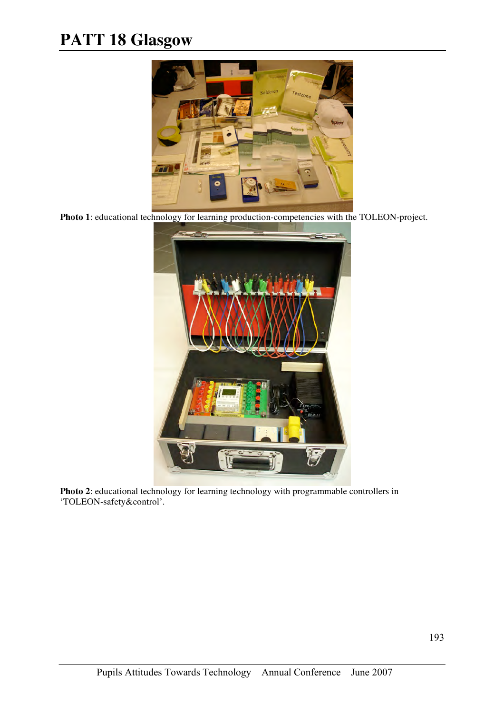

**Photo 1**: educational technology for learning production-competencies with the TOLEON-project.



**Photo 2**: educational technology for learning technology with programmable controllers in 'TOLEON-safety&control'.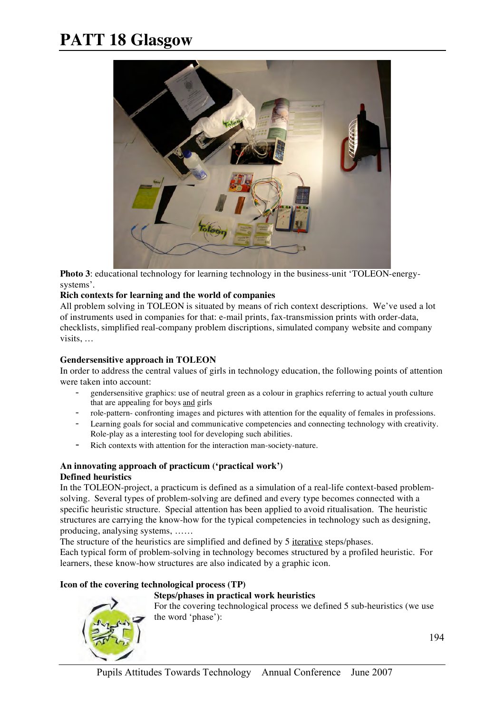

**Photo 3**: educational technology for learning technology in the business-unit 'TOLEON-energysystems'.

#### **Rich contexts for learning and the world of companies**

All problem solving in TOLEON is situated by means of rich context descriptions. We've used a lot of instruments used in companies for that: e-mail prints, fax-transmission prints with order-data, checklists, simplified real-company problem discriptions, simulated company website and company visits, …

#### **Gendersensitive approach in TOLEON**

In order to address the central values of girls in technology education, the following points of attention were taken into account:

- gendersensitive graphics: use of neutral green as a colour in graphics referring to actual youth culture that are appealing for boys and girls
- role-pattern- confronting images and pictures with attention for the equality of females in professions.
- Learning goals for social and communicative competencies and connecting technology with creativity. Role-play as a interesting tool for developing such abilities.
- Rich contexts with attention for the interaction man-society-nature.

#### **An innovating approach of practicum ('practical work') Defined heuristics**

In the TOLEON-project, a practicum is defined as a simulation of a real-life context-based problemsolving. Several types of problem-solving are defined and every type becomes connected with a specific heuristic structure. Special attention has been applied to avoid ritualisation. The heuristic structures are carrying the know-how for the typical competencies in technology such as designing, producing, analysing systems, ……

The structure of the heuristics are simplified and defined by 5 iterative steps/phases.

Each typical form of problem-solving in technology becomes structured by a profiled heuristic. For learners, these know-how structures are also indicated by a graphic icon.

#### **Icon of the covering technological process (TP)**

#### **Steps/phases in practical work heuristics**

For the covering technological process we defined 5 sub-heuristics (we use the word 'phase'):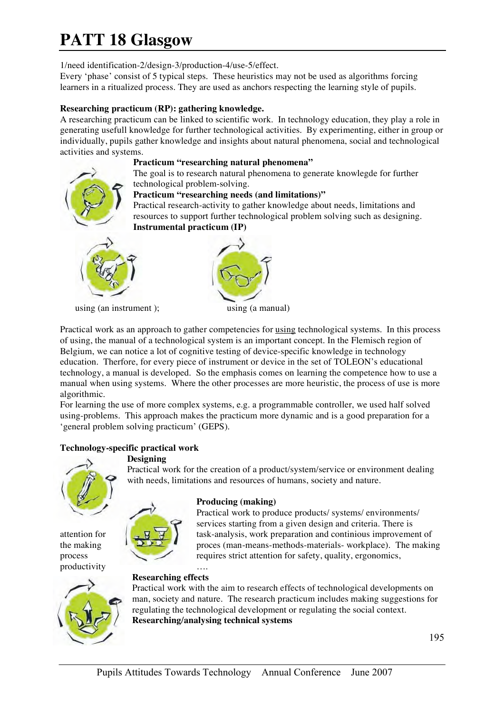1/need identification-2/design-3/production-4/use-5/effect.

Every 'phase' consist of 5 typical steps. These heuristics may not be used as algorithms forcing learners in a ritualized process. They are used as anchors respecting the learning style of pupils.

### **Researching practicum (RP): gathering knowledge.**

A researching practicum can be linked to scientific work. In technology education, they play a role in generating usefull knowledge for further technological activities. By experimenting, either in group or individually, pupils gather knowledge and insights about natural phenomena, social and technological activities and systems.

### **Practicum "researching natural phenomena"**

The goal is to research natural phenomena to generate knowlegde for further technological problem-solving.

### **Practicum "researching needs (and limitations)"**

Practical research-activity to gather knowledge about needs, limitations and resources to support further technological problem solving such as designing. **Instrumental practicum (IP)**



using (an instrument ); using (a manual)



Practical work as an approach to gather competencies for <u>using</u> technological systems. In this process of using, the manual of a technological system is an important concept. In the Flemisch region of Belgium, we can notice a lot of cognitive testing of device-specific knowledge in technology education. Therfore, for every piece of instrument or device in the set of TOLEON's educational technology, a manual is developed. So the emphasis comes on learning the competence how to use a manual when using systems. Where the other processes are more heuristic, the process of use is more algorithmic.

For learning the use of more complex systems, e.g. a programmable controller, we used half solved using-problems. This approach makes the practicum more dynamic and is a good preparation for a 'general problem solving practicum' (GEPS).

with needs, limitations and resources of humans, society and nature.

### **Technology-specific practical work**

#### **Designing**



productivity ….



Practical work to produce products/ systems/ environments/ services starting from a given design and criteria. There is attention for  $\left( \begin{array}{cc} \begin{array}{ccc} \begin{array}{ccc} \end{array} & \mathbf{y} & \mathbf{y} \end{array} \end{array} \right)$  task-analysis, work preparation and continious improvement of the making  $\sqrt{2\sqrt{2}}$  proces (man-means-methods-materials- workplace). The making process requires strict attention for safety, quality, ergonomics,

### **Researching effects**



Practical work with the aim to research effects of technological developments on man, society and nature. The research practicum includes making suggestions for regulating the technological development or regulating the social context. **Researching/analysing technical systems**

Practical work for the creation of a product/system/service or environment dealing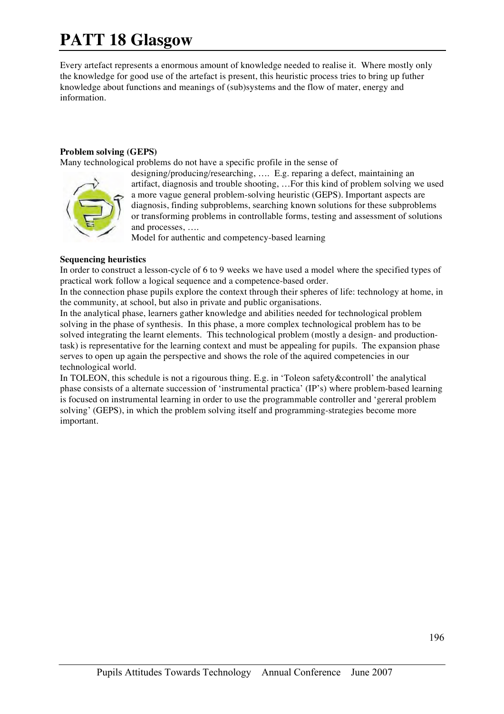Every artefact represents a enormous amount of knowledge needed to realise it. Where mostly only the knowledge for good use of the artefact is present, this heuristic process tries to bring up futher knowledge about functions and meanings of (sub)systems and the flow of mater, energy and information.

#### **Problem solving (GEPS)**

Many technological problems do not have a specific profile in the sense of



designing/producing/researching, …. E.g. reparing a defect, maintaining an artifact, diagnosis and trouble shooting, …For this kind of problem solving we used a more vague general problem-solving heuristic (GEPS). Important aspects are diagnosis, finding subproblems, searching known solutions for these subproblems or transforming problems in controllable forms, testing and assessment of solutions and processes, ….

Model for authentic and competency-based learning

#### **Sequencing heuristics**

In order to construct a lesson-cycle of 6 to 9 weeks we have used a model where the specified types of practical work follow a logical sequence and a competence-based order.

In the connection phase pupils explore the context through their spheres of life: technology at home, in the community, at school, but also in private and public organisations.

In the analytical phase, learners gather knowledge and abilities needed for technological problem solving in the phase of synthesis. In this phase, a more complex technological problem has to be solved integrating the learnt elements. This technological problem (mostly a design- and productiontask) is representative for the learning context and must be appealing for pupils. The expansion phase serves to open up again the perspective and shows the role of the aquired competencies in our technological world.

In TOLEON, this schedule is not a rigourous thing. E.g. in 'Toleon safety&controll' the analytical phase consists of a alternate succession of 'instrumental practica' (IP's) where problem-based learning is focused on instrumental learning in order to use the programmable controller and 'gereral problem solving' (GEPS), in which the problem solving itself and programming-strategies become more important.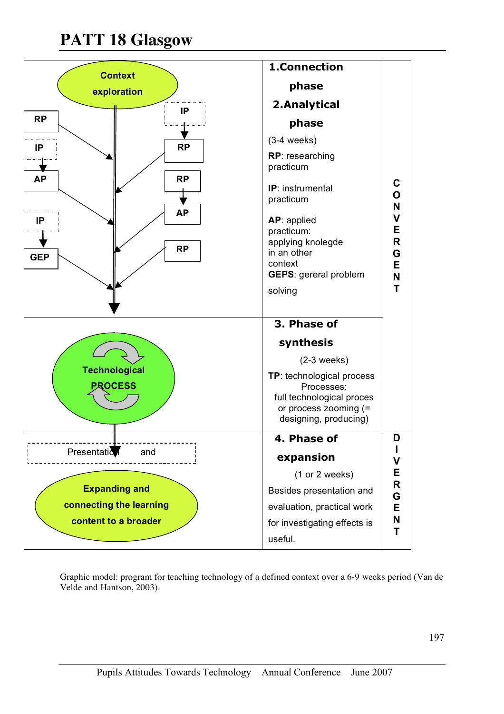

Graphic model: program for teaching technology of a defined context over a 6-9 weeks period (Van de Velde and Hantson, 2003).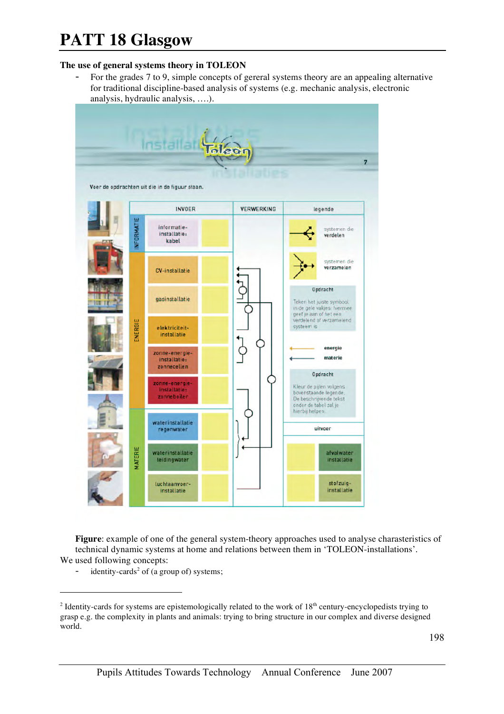#### **The use of general systems theory in TOLEON**

For the grades 7 to 9, simple concepts of gereral systems theory are an appealing alternative for traditional discipline-based analysis of systems (e.g. mechanic analysis, electronic analysis, hydraulic analysis, ….).



**Figure**: example of one of the general system-theory approaches used to analyse charasteristics of technical dynamic systems at home and relations between them in 'TOLEON-installations'. We used following concepts:

identity-cards<sup>2</sup> of (a group of) systems;

 $2$  Identity-cards for systems are epistemologically related to the work of  $18<sup>th</sup>$  century-encyclopedists trying to grasp e.g. the complexity in plants and animals: trying to bring structure in our complex and diverse designed world.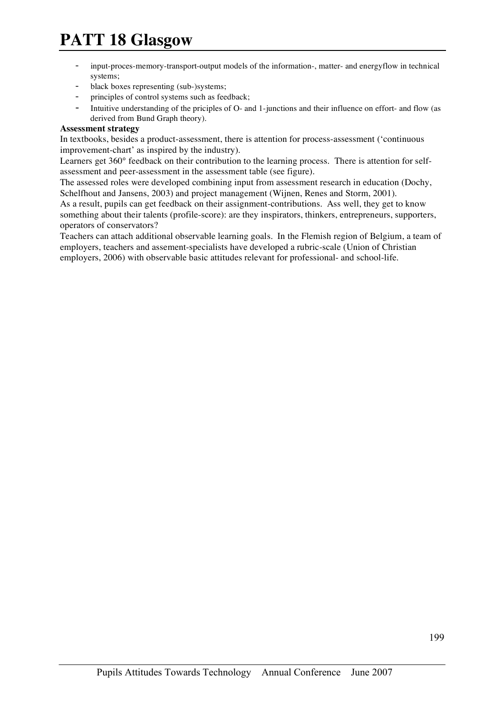- input-proces-memory-transport-output models of the information-, matter- and energyflow in technical systems;
- black boxes representing (sub-)systems;
- principles of control systems such as feedback;
- Intuitive understanding of the priciples of O- and 1-junctions and their influence on effort- and flow (as derived from Bund Graph theory).

### **Assessment strategy**

In textbooks, besides a product-assessment, there is attention for process-assessment ('continuous improvement-chart' as inspired by the industry).

Learners get 360° feedback on their contribution to the learning process. There is attention for selfassessment and peer-assessment in the assessment table (see figure).

The assessed roles were developed combining input from assessment research in education (Dochy, Schelfhout and Jansens, 2003) and project management (Wijnen, Renes and Storm, 2001).

As a result, pupils can get feedback on their assignment-contributions. Ass well, they get to know something about their talents (profile-score): are they inspirators, thinkers, entrepreneurs, supporters, operators of conservators?

Teachers can attach additional observable learning goals. In the Flemish region of Belgium, a team of employers, teachers and assement-specialists have developed a rubric-scale (Union of Christian employers, 2006) with observable basic attitudes relevant for professional- and school-life.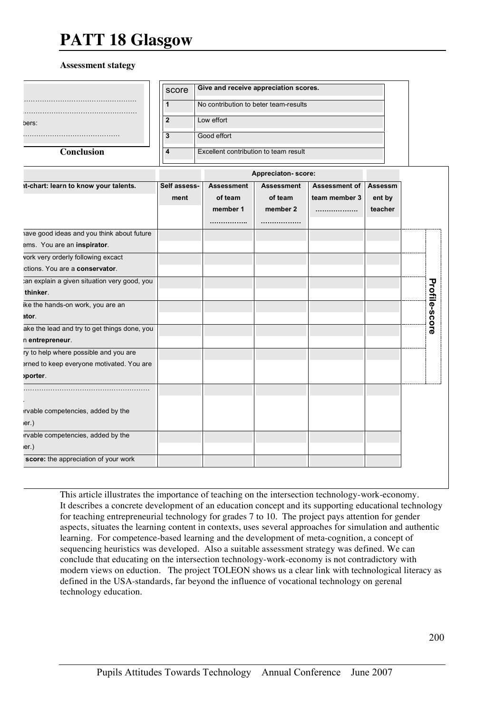#### **Assessment stategy**

|                                              | score                       | Give and receive appreciation scores. |                    |               |         | <b>Profile-score</b> |
|----------------------------------------------|-----------------------------|---------------------------------------|--------------------|---------------|---------|----------------------|
|                                              | 1                           | No contribution to beter team-results |                    |               |         |                      |
| pers:                                        | $\overline{\mathbf{2}}$     | Low effort                            |                    |               |         |                      |
|                                              |                             |                                       |                    |               |         |                      |
|                                              | Good effort<br>$\mathbf{3}$ |                                       |                    |               |         |                      |
| <b>Conclusion</b>                            | 4                           | Excellent contribution to team result |                    |               |         |                      |
|                                              |                             |                                       | Appreciaton-score: |               |         |                      |
| it-chart: learn to know your talents.        | Self assess-                | <b>Assessment</b>                     | <b>Assessment</b>  | Assessment of | Assessm |                      |
|                                              | ment                        | of team                               | of team            | team member 3 | ent by  |                      |
|                                              |                             | member 1                              | member 2           |               | teacher |                      |
|                                              |                             | .                                     | .                  |               |         |                      |
| ave good ideas and you think about future    |                             |                                       |                    |               |         |                      |
| ems. You are an inspirator.                  |                             |                                       |                    |               |         |                      |
| vork very orderly following excact           |                             |                                       |                    |               |         |                      |
| ctions. You are a conservator.               |                             |                                       |                    |               |         |                      |
| an explain a given situation very good, you  |                             |                                       |                    |               |         |                      |
| thinker.                                     |                             |                                       |                    |               |         |                      |
| ike the hands-on work, you are an            |                             |                                       |                    |               |         |                      |
| ator.                                        |                             |                                       |                    |               |         |                      |
| ake the lead and try to get things done, you |                             |                                       |                    |               |         |                      |
| n entrepreneur.                              |                             |                                       |                    |               |         |                      |
| ry to help where possible and you are        |                             |                                       |                    |               |         |                      |
| erned to keep everyone motivated. You are    |                             |                                       |                    |               |         |                      |
| porter.                                      |                             |                                       |                    |               |         |                      |
|                                              |                             |                                       |                    |               |         |                      |
|                                              |                             |                                       |                    |               |         |                      |
| rvable competencies, added by the            |                             |                                       |                    |               |         |                      |
| er.)                                         |                             |                                       |                    |               |         |                      |
| rvable competencies, added by the            |                             |                                       |                    |               |         |                      |
| er.)                                         |                             |                                       |                    |               |         |                      |
| score: the appreciation of your work         |                             |                                       |                    |               |         |                      |

This article illustrates the importance of teaching on the intersection technology-work-economy. It describes a concrete development of an education concept and its supporting educational technology for teaching entrepreneurial technology for grades 7 to 10. The project pays attention for gender aspects, situates the learning content in contexts, uses several approaches for simulation and authentic learning. For competence-based learning and the development of meta-cognition, a concept of sequencing heuristics was developed. Also a suitable assessment strategy was defined. We can conclude that educating on the intersection technology-work-economy is not contradictory with modern views on eduction. The project TOLEON shows us a clear link with technological literacy as defined in the USA-standards, far beyond the influence of vocational technology on gerenal technology education.